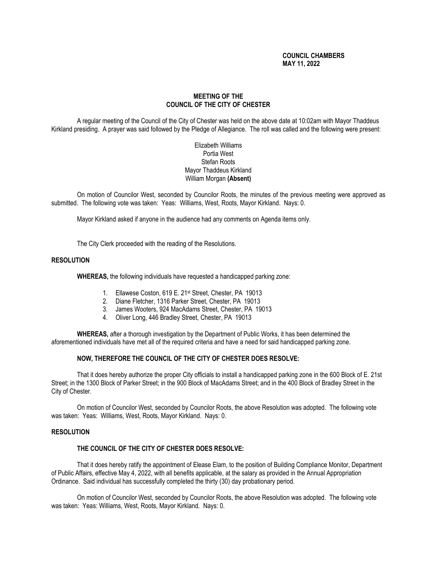# **COUNCIL CHAMBERS MAY 11, 2022**

# **MEETING OF THE COUNCIL OF THE CITY OF CHESTER**

A regular meeting of the Council of the City of Chester was held on the above date at 10:02am with Mayor Thaddeus Kirkland presiding. A prayer was said followed by the Pledge of Allegiance. The roll was called and the following were present:

# Elizabeth Williams Portia West Stefan Roots Mayor Thaddeus Kirkland William Morgan **(Absent)**

On motion of Councilor West, seconded by Councilor Roots, the minutes of the previous meeting were approved as submitted. The following vote was taken: Yeas: Williams, West, Roots, Mayor Kirkland. Nays: 0.

Mayor Kirkland asked if anyone in the audience had any comments on Agenda items only.

The City Clerk proceeded with the reading of the Resolutions.

#### **RESOLUTION**

**WHEREAS,** the following individuals have requested a handicapped parking zone:

- 1. Ellawese Coston, 619 E. 21st Street, Chester, PA 19013
- 2. Diane Fletcher, 1316 Parker Street, Chester, PA 19013
- 3. James Wooters, 924 MacAdams Street, Chester, PA 19013
- 4. Oliver Long, 446 Bradley Street, Chester, PA 19013

**WHEREAS,** after a thorough investigation by the Department of Public Works, it has been determined the aforementioned individuals have met all of the required criteria and have a need for said handicapped parking zone.

## **NOW, THEREFORE THE COUNCIL OF THE CITY OF CHESTER DOES RESOLVE:**

That it does hereby authorize the proper City officials to install a handicapped parking zone in the 600 Block of E. 21st Street; in the 1300 Block of Parker Street; in the 900 Block of MacAdams Street; and in the 400 Block of Bradley Street in the City of Chester.

On motion of Councilor West, seconded by Councilor Roots, the above Resolution was adopted. The following vote was taken: Yeas: Williams, West, Roots, Mayor Kirkland. Nays: 0.

## **RESOLUTION**

#### **THE COUNCIL OF THE CITY OF CHESTER DOES RESOLVE:**

That it does hereby ratify the appointment of Elease Elam, to the position of Building Compliance Monitor, Department of Public Affairs, effective May 4, 2022, with all benefits applicable, at the salary as provided in the Annual Appropriation Ordinance. Said individual has successfully completed the thirty (30) day probationary period.

On motion of Councilor West, seconded by Councilor Roots, the above Resolution was adopted. The following vote was taken: Yeas: Williams, West, Roots, Mayor Kirkland. Nays: 0.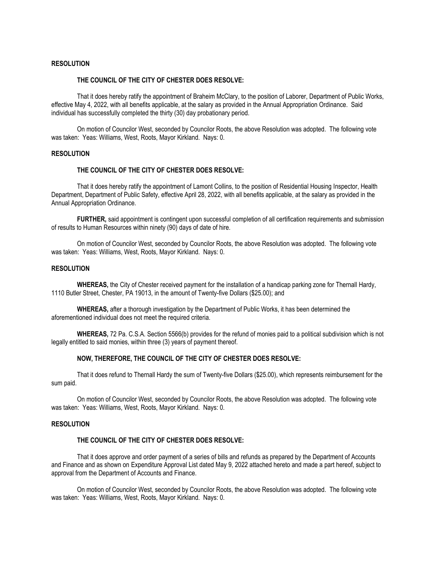#### **RESOLUTION**

# **THE COUNCIL OF THE CITY OF CHESTER DOES RESOLVE:**

That it does hereby ratify the appointment of Braheim McClary, to the position of Laborer, Department of Public Works, effective May 4, 2022, with all benefits applicable, at the salary as provided in the Annual Appropriation Ordinance. Said individual has successfully completed the thirty (30) day probationary period.

On motion of Councilor West, seconded by Councilor Roots, the above Resolution was adopted. The following vote was taken: Yeas: Williams, West, Roots, Mayor Kirkland. Nays: 0.

## **RESOLUTION**

# **THE COUNCIL OF THE CITY OF CHESTER DOES RESOLVE:**

That it does hereby ratify the appointment of Lamont Collins, to the position of Residential Housing Inspector, Health Department, Department of Public Safety, effective April 28, 2022, with all benefits applicable, at the salary as provided in the Annual Appropriation Ordinance.

**FURTHER,** said appointment is contingent upon successful completion of all certification requirements and submission of results to Human Resources within ninety (90) days of date of hire.

On motion of Councilor West, seconded by Councilor Roots, the above Resolution was adopted. The following vote was taken: Yeas: Williams, West, Roots, Mayor Kirkland. Nays: 0.

#### **RESOLUTION**

**WHEREAS,** the City of Chester received payment for the installation of a handicap parking zone for Thernall Hardy, 1110 Butler Street, Chester, PA 19013, in the amount of Twenty-five Dollars (\$25.00); and

**WHEREAS,** after a thorough investigation by the Department of Public Works, it has been determined the aforementioned individual does not meet the required criteria.

**WHEREAS,** 72 Pa. C.S.A. Section 5566(b) provides for the refund of monies paid to a political subdivision which is not legally entitled to said monies, within three (3) years of payment thereof.

#### **NOW, THEREFORE, THE COUNCIL OF THE CITY OF CHESTER DOES RESOLVE:**

That it does refund to Thernall Hardy the sum of Twenty-five Dollars (\$25.00), which represents reimbursement for the sum paid.

On motion of Councilor West, seconded by Councilor Roots, the above Resolution was adopted. The following vote was taken: Yeas: Williams, West, Roots, Mayor Kirkland. Nays: 0.

#### **RESOLUTION**

## **THE COUNCIL OF THE CITY OF CHESTER DOES RESOLVE:**

That it does approve and order payment of a series of bills and refunds as prepared by the Department of Accounts and Finance and as shown on Expenditure Approval List dated May 9, 2022 attached hereto and made a part hereof, subject to approval from the Department of Accounts and Finance.

On motion of Councilor West, seconded by Councilor Roots, the above Resolution was adopted. The following vote was taken: Yeas: Williams, West, Roots, Mayor Kirkland. Nays: 0.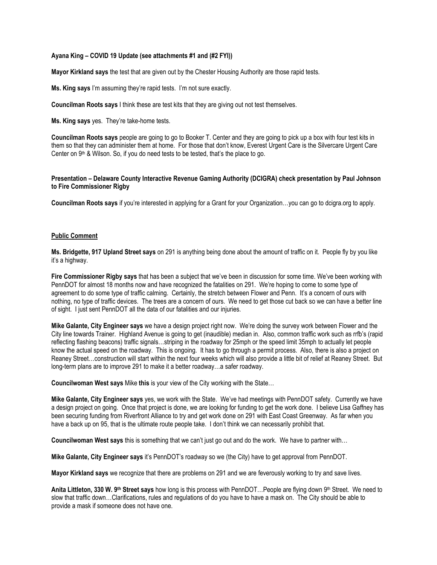# **Ayana King – COVID 19 Update (see attachments #1 and (#2 FYI))**

**Mayor Kirkland says** the test that are given out by the Chester Housing Authority are those rapid tests.

**Ms. King says** I'm assuming they're rapid tests. I'm not sure exactly.

**Councilman Roots says** I think these are test kits that they are giving out not test themselves.

**Ms. King says** yes. They're take-home tests.

**Councilman Roots says** people are going to go to Booker T. Center and they are going to pick up a box with four test kits in them so that they can administer them at home. For those that don't know, Everest Urgent Care is the Silvercare Urgent Care Center on 9<sup>th</sup> & Wilson. So, if you do need tests to be tested, that's the place to go.

# **Presentation – Delaware County Interactive Revenue Gaming Authority (DCIGRA) check presentation by Paul Johnson to Fire Commissioner Rigby**

**Councilman Roots says** if you're interested in applying for a Grant for your Organization…you can go to dcigra.org to apply.

## **Public Comment**

**Ms. Bridgette, 917 Upland Street says** on 291 is anything being done about the amount of traffic on it. People fly by you like it's a highway.

**Fire Commissioner Rigby says** that has been a subject that we've been in discussion for some time. We've been working with PennDOT for almost 18 months now and have recognized the fatalities on 291. We're hoping to come to some type of agreement to do some type of traffic calming. Certainly, the stretch between Flower and Penn. It's a concern of ours with nothing, no type of traffic devices. The trees are a concern of ours. We need to get those cut back so we can have a better line of sight. I just sent PennDOT all the data of our fatalities and our injuries.

**Mike Galante, City Engineer says** we have a design project right now. We're doing the survey work between Flower and the City line towards Trainer. Highland Avenue is going to get (inaudible) median in. Also, common traffic work such as rrfb's (rapid reflecting flashing beacons) traffic signals…striping in the roadway for 25mph or the speed limit 35mph to actually let people know the actual speed on the roadway. This is ongoing. It has to go through a permit process. Also, there is also a project on Reaney Street…construction will start within the next four weeks which will also provide a little bit of relief at Reaney Street. But long-term plans are to improve 291 to make it a better roadway…a safer roadway.

**Councilwoman West says** Mike **this** is your view of the City working with the State…

**Mike Galante, City Engineer says** yes, we work with the State. We've had meetings with PennDOT safety. Currently we have a design project on going. Once that project is done, we are looking for funding to get the work done. I believe Lisa Gaffney has been securing funding from Riverfront Alliance to try and get work done on 291 with East Coast Greenway. As far when you have a back up on 95, that is the ultimate route people take. I don't think we can necessarily prohibit that.

**Councilwoman West says** this is something that we can't just go out and do the work. We have to partner with…

**Mike Galante, City Engineer says** it's PennDOT's roadway so we (the City) have to get approval from PennDOT.

**Mayor Kirkland says** we recognize that there are problems on 291 and we are feverously working to try and save lives.

**Anita Littleton, 330 W. 9th Street says** how long is this process with PennDOT…People are flying down 9th Street. We need to slow that traffic down…Clarifications, rules and regulations of do you have to have a mask on. The City should be able to provide a mask if someone does not have one.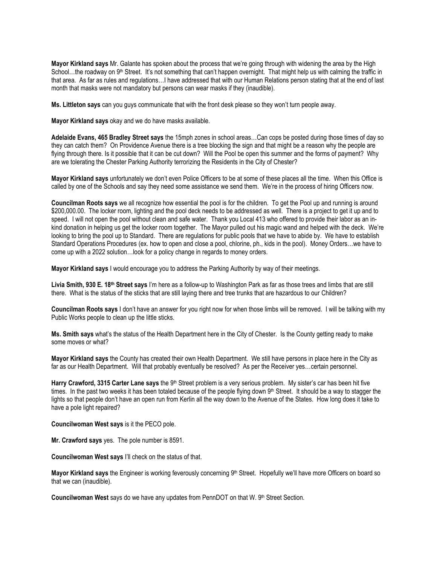**Mayor Kirkland says** Mr. Galante has spoken about the process that we're going through with widening the area by the High School…the roadway on 9<sup>th</sup> Street. It's not something that can't happen overnight. That might help us with calming the traffic in that area. As far as rules and regulations…I have addressed that with our Human Relations person stating that at the end of last month that masks were not mandatory but persons can wear masks if they (inaudible).

**Ms. Littleton says** can you guys communicate that with the front desk please so they won't turn people away.

**Mayor Kirkland says** okay and we do have masks available.

**Adelaide Evans, 465 Bradley Street says** the 15mph zones in school areas…Can cops be posted during those times of day so they can catch them? On Providence Avenue there is a tree blocking the sign and that might be a reason why the people are flying through there. Is it possible that it can be cut down? Will the Pool be open this summer and the forms of payment? Why are we tolerating the Chester Parking Authority terrorizing the Residents in the City of Chester?

**Mayor Kirkland says** unfortunately we don't even Police Officers to be at some of these places all the time. When this Office is called by one of the Schools and say they need some assistance we send them. We're in the process of hiring Officers now.

**Councilman Roots says** we all recognize how essential the pool is for the children. To get the Pool up and running is around \$200,000.00. The locker room, lighting and the pool deck needs to be addressed as well. There is a project to get it up and to speed. I will not open the pool without clean and safe water. Thank you Local 413 who offered to provide their labor as an inkind donation in helping us get the locker room together. The Mayor pulled out his magic wand and helped with the deck. We're looking to bring the pool up to Standard. There are regulations for public pools that we have to abide by. We have to establish Standard Operations Procedures (ex. how to open and close a pool, chlorine, ph., kids in the pool). Money Orders…we have to come up with a 2022 solution…look for a policy change in regards to money orders.

**Mayor Kirkland says** I would encourage you to address the Parking Authority by way of their meetings.

**Livia Smith, 930 E. 18th Street says** I'm here as a follow-up to Washington Park as far as those trees and limbs that are still there. What is the status of the sticks that are still laying there and tree trunks that are hazardous to our Children?

**Councilman Roots says** I don't have an answer for you right now for when those limbs will be removed. I will be talking with my Public Works people to clean up the little sticks.

**Ms. Smith says** what's the status of the Health Department here in the City of Chester. Is the County getting ready to make some moves or what?

**Mayor Kirkland says** the County has created their own Health Department. We still have persons in place here in the City as far as our Health Department. Will that probably eventually be resolved? As per the Receiver yes…certain personnel.

Harry Crawford, 3315 Carter Lane says the 9<sup>th</sup> Street problem is a very serious problem. My sister's car has been hit five times. In the past two weeks it has been totaled because of the people flying down  $9<sup>th</sup>$  Street. It should be a way to stagger the lights so that people don't have an open run from Kerlin all the way down to the Avenue of the States. How long does it take to have a pole light repaired?

**Councilwoman West says** is it the PECO pole.

**Mr. Crawford says** yes. The pole number is 8591.

**Councilwoman West says** I'll check on the status of that.

Mayor Kirkland says the Engineer is working feverously concerning 9<sup>th</sup> Street. Hopefully we'll have more Officers on board so that we can (inaudible).

**Councilwoman West** says do we have any updates from PennDOT on that W. 9<sup>th</sup> Street Section.